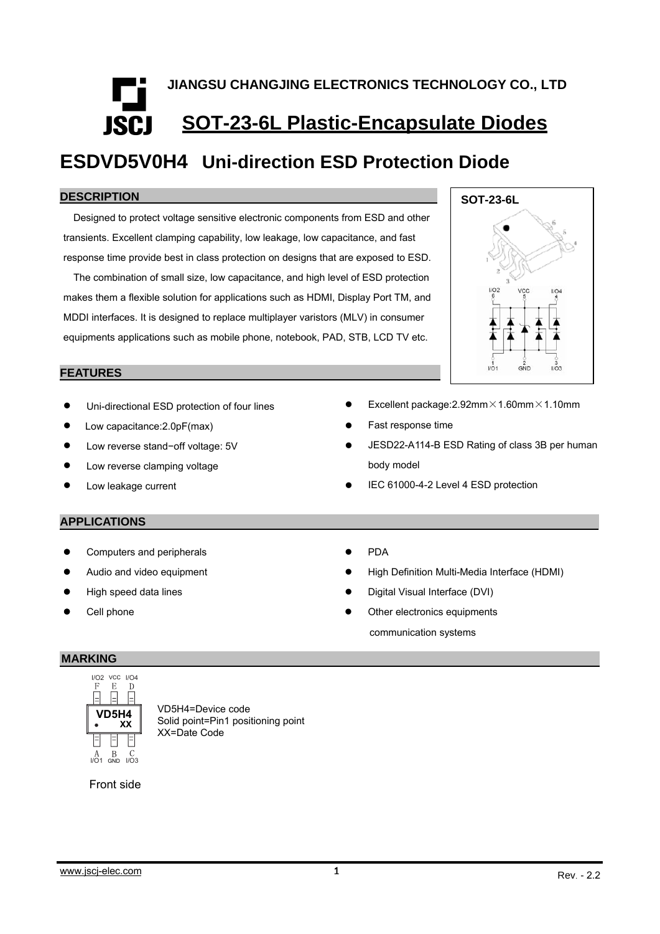# **JIANGSU CHANGJING ELECTRONICS TECHNOLOGY CO., LTD SOT-23-6L Plastic-Encapsulate Diodes ISCI**

# **ESDVD5V0H4 Uni-direction ESD Protection Diode**

#### **DESCR IPTION**

Designed to protect voltage sensitive electronic components from ESD and other transients. Excellent clamping capability, low leakage, low capacitance, and fast response time provide best in class protection on designs that are exposed to ESD.

The combination of small size, low capacitance, and high level of ESD protection makes them a flexible solution for applications such as HDMI, Display Port TM, and MDDI interfaces. It is designed to replace multiplayer varistors (MLV) in consumer equipments applications such as mobile phone, notebook, PAD, STB, LCD TV etc.

# **SOT-23-6L** vò GND

#### **FEATURES**

- $\bullet$ Uni-directional ESD protection of four lines
- $\bullet$ Low capacitance:2.0pF(max)
- $\bullet$ Low reverse stand−off voltage: 5V
- $\bullet$ Low reverse clamping voltage
- $\bullet$ Low leakage current
- $\bullet$ Excellent package:2.92mm×1.60mm×1.10mm
- $\bullet$ Fast response time
- $\bullet$  JESD22-A114-B ESD Rating of class 3B per human body model
- $\bullet$ IEC 61000-4-2 Level 4 ESD protection

#### **APPLICATIONS**

- $\bullet$ Computers and peripherals
- z Audio and video equipment
- $\bullet$ High speed data lines
- $\bullet$ Cell phone
- $\bullet$ PDA
- $\bullet$ High Definition Multi-Media Interface (HDMI)
- $\bullet$ Digital Visual Interface (DVI)
- Other electronics equipments communication systems

#### **MARKING**



VD5H4=Device code Solid point=Pin1 positioning point XX=Date Code

#### Front side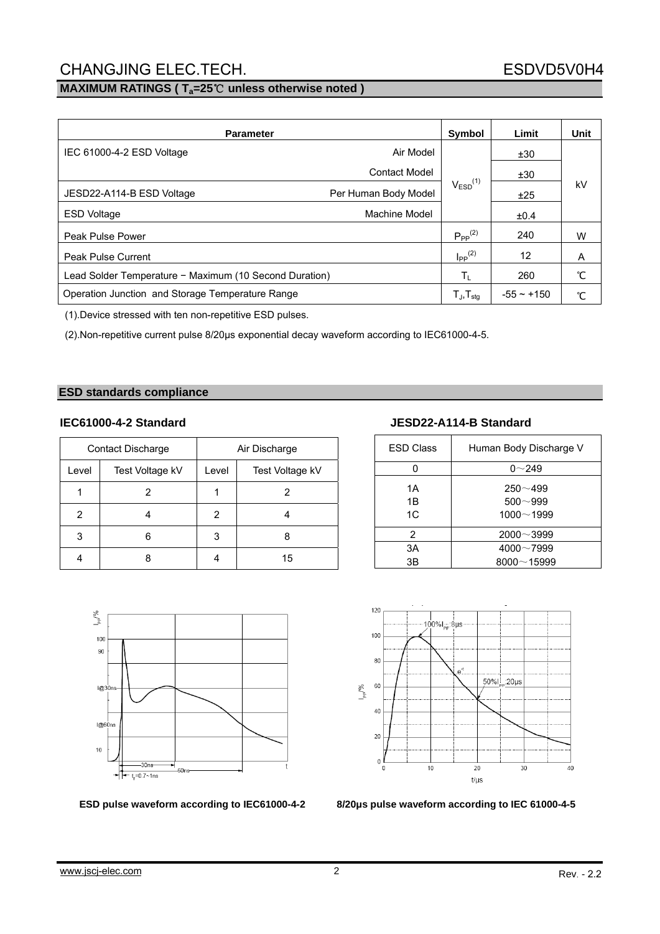#### **MAXIMUM RATINGS ( Ta=25**℃ **unless otherwise noted )**

| <b>Parameter</b>                                       |                      | Symbol                           | Limit        | Unit |
|--------------------------------------------------------|----------------------|----------------------------------|--------------|------|
| Air Model<br>IEC 61000-4-2 ESD Voltage                 |                      |                                  | ±30          |      |
|                                                        | <b>Contact Model</b> |                                  | ±30          | kV   |
| Per Human Body Model<br>JESD22-A114-B ESD Voltage      |                      | $V_{ESD}^{(1)}$                  | ±25          |      |
| <b>ESD Voltage</b>                                     | Machine Model        |                                  | ±0.4         |      |
| Peak Pulse Power                                       |                      | $P_{PP}^{(2)}$                   | 240          | W    |
| <b>Peak Pulse Current</b>                              |                      | $\mathsf{I}_{\mathsf{PP}}^{(2)}$ | 12           | A    |
| Lead Solder Temperature - Maximum (10 Second Duration) |                      | Τı                               | 260          | °С   |
| Operation Junction and Storage Temperature Range       |                      | $T_{J}$ , $T_{stg}$              | $-55 - +150$ | °C   |

(1).Device stressed with ten non-repetitive ESD pulses.

(2).Non-repetitive current pulse 8/20µs exponential decay waveform according to IEC61000-4-5.

#### **ESD standards compliance**

|       | <b>Contact Discharge</b> | Air Discharge |                 |  |  |
|-------|--------------------------|---------------|-----------------|--|--|
| Level | Test Voltage kV          | Level         | Test Voltage kV |  |  |
|       |                          |               |                 |  |  |
| 2     |                          | 2             |                 |  |  |
| 3     |                          | 3             |                 |  |  |
|       |                          |               | 15              |  |  |



#### **IEC61000-4-2 Standard JESD22-A114-B Standard**

| <b>ESD Class</b> | Human Body Discharge V                      |
|------------------|---------------------------------------------|
|                  | $0 - 249$                                   |
| 1A<br>1B<br>1C   | $250 - 499$<br>$500 - 999$<br>$1000 - 1999$ |
| $\mathcal{P}$    | $2000 - 3999$                               |
| 3A               | $4000 - 7999$                               |
| ЗB               | $8000 - 15999$                              |



**ESD pulse waveform according to IEC61000-4-2 8/20μs pulse waveform according to IEC 61000-4-5**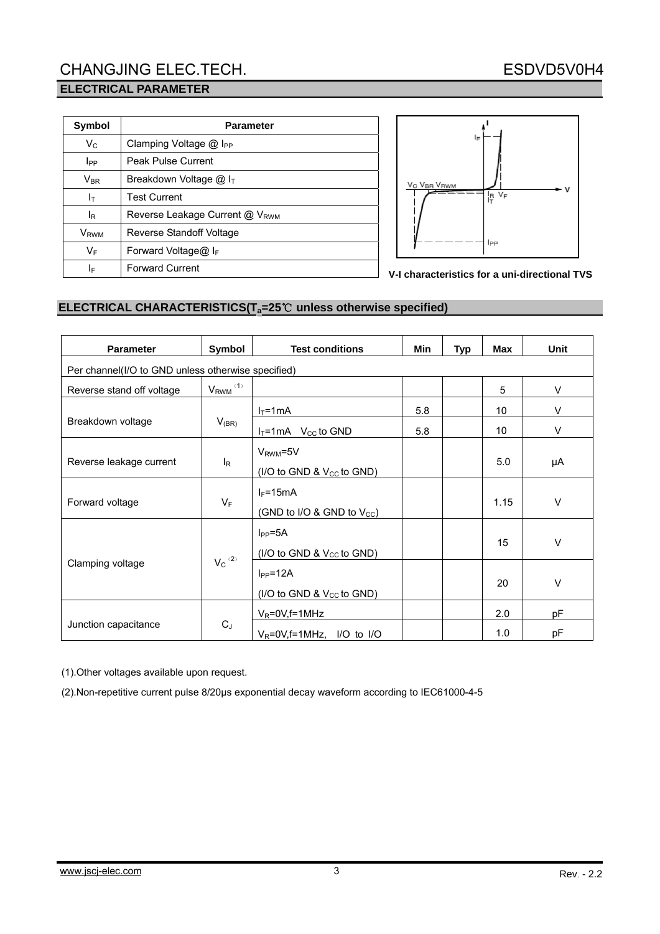| Symbol                     | <b>Parameter</b>                           |  |  |  |  |  |
|----------------------------|--------------------------------------------|--|--|--|--|--|
| $V_C$                      | Clamping Voltage $@$ I <sub>PP</sub>       |  |  |  |  |  |
| <b>I</b> PP                | <b>Peak Pulse Current</b>                  |  |  |  |  |  |
| $\mathsf{V}_{\mathsf{BR}}$ | Breakdown Voltage $@$ I <sub>T</sub>       |  |  |  |  |  |
| Iт                         | <b>Test Current</b>                        |  |  |  |  |  |
| lR                         | Reverse Leakage Current @ V <sub>RWM</sub> |  |  |  |  |  |
| <b>V</b> <sub>RWM</sub>    | Reverse Standoff Voltage                   |  |  |  |  |  |
| $V_F$                      | Forward Voltage@ $I_F$                     |  |  |  |  |  |
| IF                         | <b>Forward Current</b>                     |  |  |  |  |  |



**V-I characteristics for a uni-directional TVS**

#### **ELECTRICAL CHARACTERISTICS(Ta=25**℃ **unless otherwise specified)**

| <b>Parameter</b>                                   | Symbol                   | <b>Test conditions</b>                                 | <b>Min</b> | <b>Typ</b> | Max  | Unit   |  |  |  |
|----------------------------------------------------|--------------------------|--------------------------------------------------------|------------|------------|------|--------|--|--|--|
| Per channel(I/O to GND unless otherwise specified) |                          |                                                        |            |            |      |        |  |  |  |
| Reverse stand off voltage                          | $V_{RWM}$ <sup>(1)</sup> |                                                        |            |            | 5    | V      |  |  |  |
|                                                    |                          | $I_T = 1mA$                                            | 5.8        |            | 10   | V      |  |  |  |
| Breakdown voltage                                  | $V_{(BR)}$               | $I_T = 1mA$ V <sub>cc</sub> to GND                     | 5.8        |            | 10   | V      |  |  |  |
| Reverse leakage current                            | $I_R$                    | $V_{RWM} = 5V$<br>(I/O to GND & $V_{CC}$ to GND)       |            |            | 5.0  | μA     |  |  |  |
| Forward voltage                                    | $V_F$                    | $I_F = 15mA$<br>(GND to I/O & GND to $V_{\text{CC}}$ ) |            |            | 1.15 | $\vee$ |  |  |  |
|                                                    |                          | $I_{PP} = 5A$<br>(I/O to GND & V <sub>CC</sub> to GND) |            |            | 15   | $\vee$ |  |  |  |
| Clamping voltage                                   | $V_c^{(2)}$              | $I_{PP} = 12A$<br>(I/O to GND & $V_{CC}$ to GND)       |            |            | 20   | $\vee$ |  |  |  |
|                                                    |                          | $V_R = 0V$ , f = 1MHz                                  |            |            | 2.0  | pF     |  |  |  |
| Junction capacitance                               | $C_J$                    | $V_R = 0V$ , f = 1MHz, I/O to I/O                      |            |            | 1.0  | pF     |  |  |  |

(1).Other voltages available upon request.

(2).Non-repetitive current pulse 8/20μs exponential decay waveform according to IEC61000-4-5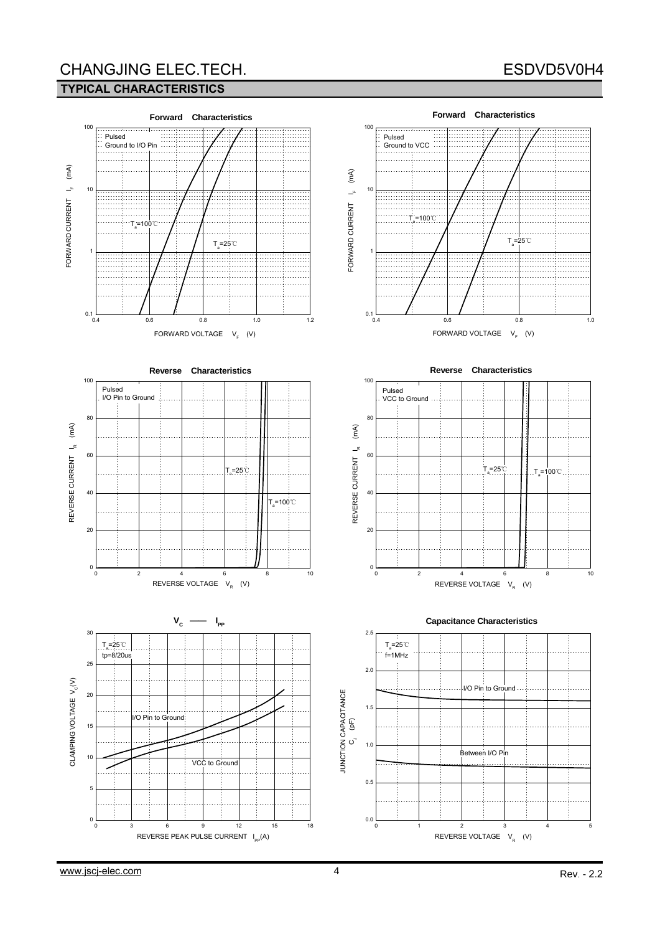#### **TYPICAL CHARACTERISTICS**

# ESDVD5V0H4



#### FORWARD VOLTAGE V<sub>F</sub> (V)













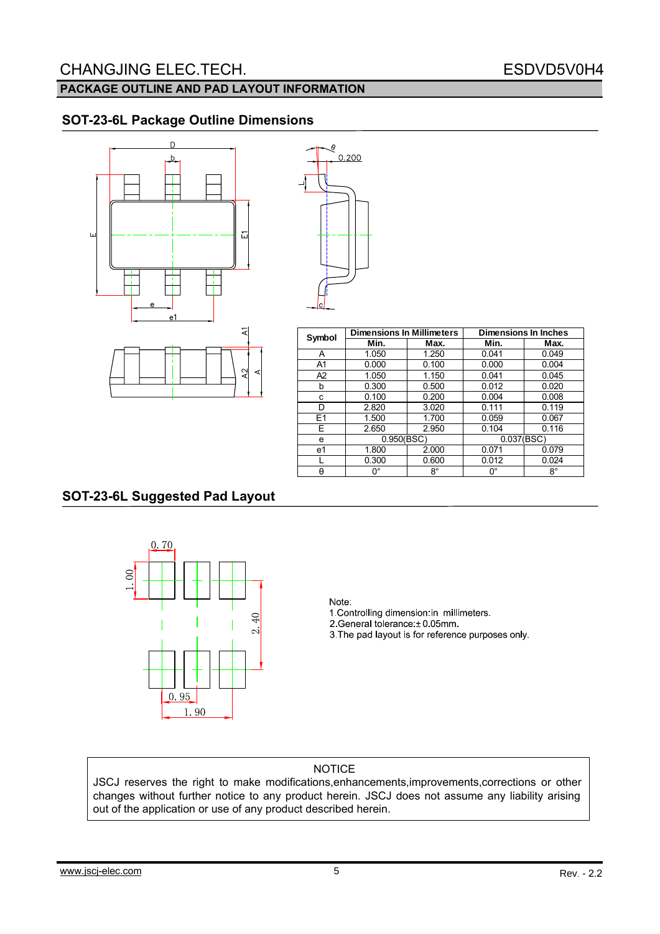#### **PACKAGE OUTLINE AND PAD LAYOUT INFORMATION**

### **SOT-23-6L Package Outline Dimensions**



| ĝ     |  |
|-------|--|
| 0.200 |  |
|       |  |
|       |  |
|       |  |
|       |  |
|       |  |
|       |  |
|       |  |
|       |  |
|       |  |
|       |  |
|       |  |
|       |  |
|       |  |
|       |  |
|       |  |
|       |  |
|       |  |
|       |  |

| Symbol         | <b>Dimensions In Millimeters</b> |                | <b>Dimensions In Inches</b> |             |  |  |
|----------------|----------------------------------|----------------|-----------------------------|-------------|--|--|
|                | Min.                             | Max.           | Min.                        | Max.        |  |  |
| Α              | 1.050                            | 1.250          | 0.041                       | 0.049       |  |  |
| A <sub>1</sub> | 0.000                            | 0.100          | 0.000                       | 0.004       |  |  |
| A <sub>2</sub> | 1.050                            | 1.150          | 0.041                       | 0.045       |  |  |
| b              | 0.300                            | 0.012<br>0.500 |                             | 0.020       |  |  |
| с              | 0.100                            | 0.200          | 0.004                       | 0.008       |  |  |
| D              | 2.820                            | 3.020          |                             | 0.119       |  |  |
| E1             | 1.500                            | 1.700          | 0.059                       | 0.067       |  |  |
| E              | 2.650                            | 2.950          | 0.104                       | 0.116       |  |  |
| e              | 0.950(BSC)                       |                | 0.037(BSC)                  |             |  |  |
| e1             | 1.800                            | 2.000          | 0.071                       | 0.079       |  |  |
|                | 0.300                            | 0.600          | 0.012                       | 0.024       |  |  |
| θ              | 0°                               | $8^{\circ}$    | 0°                          | $8^{\circ}$ |  |  |

#### **SOT-23-6L Suggested Pad Layout**



#### Note:

1. Controlling dimension in millimeters. 2.General tolerance: ± 0.05mm 3. The pad layout is for reference purposes only.

#### NOTICE

JSCJ reserves the right to make modifications,enhancements,improvements,corrections or other changes without further notice to any product herein. JSCJ does not assume any liability arising out of the application or use of any product described herein.